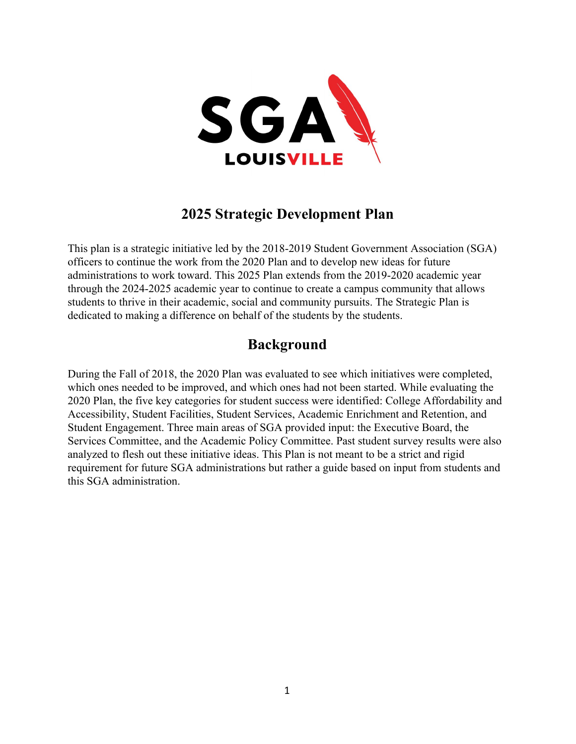

# **2025 Strategic Development Plan**

This plan is a strategic initiative led by the 2018-2019 Student Government Association (SGA) officers to continue the work from the 2020 Plan and to develop new ideas for future administrations to work toward. This 2025 Plan extends from the 2019-2020 academic year through the 2024-2025 academic year to continue to create a campus community that allows students to thrive in their academic, social and community pursuits. The Strategic Plan is dedicated to making a difference on behalf of the students by the students.

# **Background**

During the Fall of 2018, the 2020 Plan was evaluated to see which initiatives were completed, which ones needed to be improved, and which ones had not been started. While evaluating the 2020 Plan, the five key categories for student success were identified: College Affordability and Accessibility, Student Facilities, Student Services, Academic Enrichment and Retention, and Student Engagement. Three main areas of SGA provided input: the Executive Board, the Services Committee, and the Academic Policy Committee. Past student survey results were also analyzed to flesh out these initiative ideas. This Plan is not meant to be a strict and rigid requirement for future SGA administrations but rather a guide based on input from students and this SGA administration.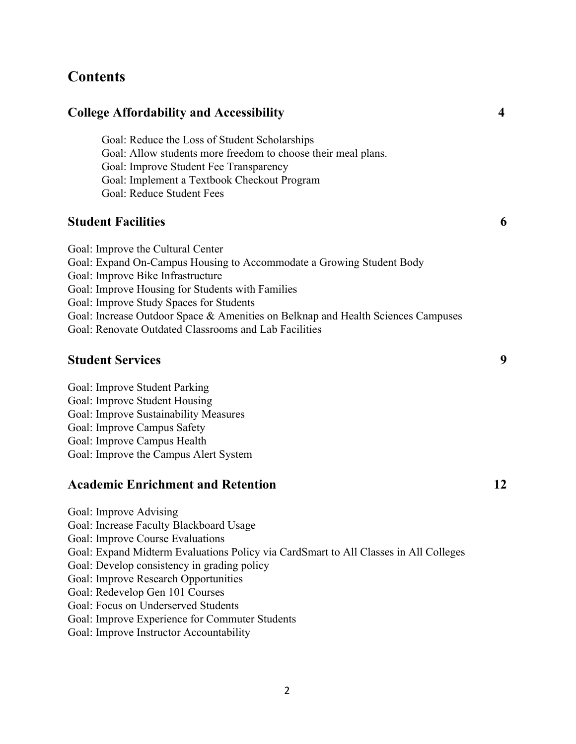# **Contents**

| <b>College Affordability and Accessibility</b>                                                                 | 4 |
|----------------------------------------------------------------------------------------------------------------|---|
| Goal: Reduce the Loss of Student Scholarships<br>Goal: Allow students more freedom to choose their meal plans. |   |
| Goal: Improve Student Fee Transparency                                                                         |   |
| Goal: Implement a Textbook Checkout Program                                                                    |   |
| Goal: Reduce Student Fees                                                                                      |   |
| <b>Student Facilities</b>                                                                                      | 6 |
| Goal: Improve the Cultural Center                                                                              |   |
| Goal: Expand On-Campus Housing to Accommodate a Growing Student Body                                           |   |
| Goal: Improve Bike Infrastructure                                                                              |   |
| Goal: Improve Housing for Students with Families                                                               |   |
| Goal: Improve Study Spaces for Students                                                                        |   |
| Goal: Increase Outdoor Space & Amenities on Belknap and Health Sciences Campuses                               |   |
| Goal: Renovate Outdated Classrooms and Lab Facilities                                                          |   |
| <b>Student Services</b>                                                                                        | 9 |
| Goal: Improve Student Parking                                                                                  |   |
| Goal: Improve Student Housing                                                                                  |   |
| $\begin{array}{ccc} 1 & I & O & I \end{array}$                                                                 |   |

Goal: Improve Sustainability Measures Goal: Improve Campus Safety Goal: Improve Campus Health Goal: Improve the Campus Alert System

## **Academic Enrichment and Retention 12**

Goal: Improve Advising Goal: Increase Faculty Blackboard Usage Goal: Improve Course Evaluations Goal: Expand Midterm Evaluations Policy via CardSmart to All Classes in All Colleges Goal: Develop consistency in grading policy Goal: Improve Research Opportunities Goal: Redevelop Gen 101 Courses Goal: Focus on Underserved Students Goal: Improve Experience for Commuter Students Goal: Improve Instructor Accountability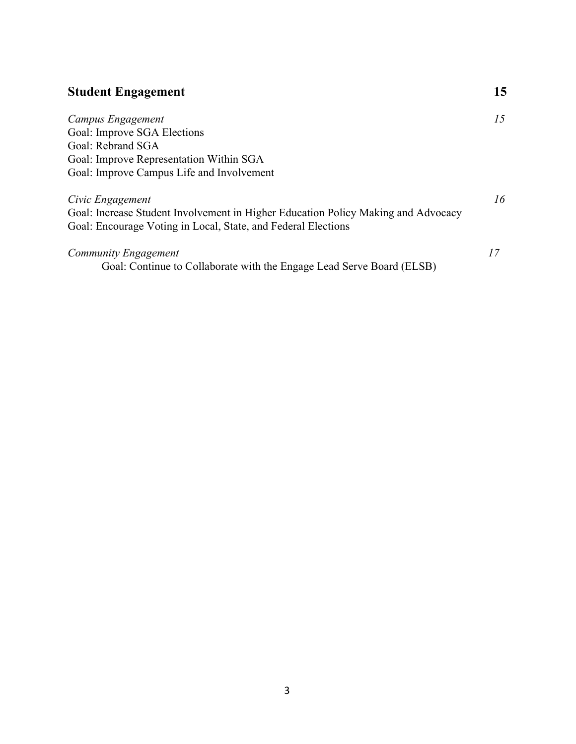| <b>Student Engagement</b>                                                         | 15 |
|-----------------------------------------------------------------------------------|----|
| Campus Engagement                                                                 | 15 |
| Goal: Improve SGA Elections                                                       |    |
| Goal: Rebrand SGA                                                                 |    |
| Goal: Improve Representation Within SGA                                           |    |
| Goal: Improve Campus Life and Involvement                                         |    |
| Civic Engagement                                                                  | 16 |
| Goal: Increase Student Involvement in Higher Education Policy Making and Advocacy |    |
| Goal: Encourage Voting in Local, State, and Federal Elections                     |    |
| Community Engagement                                                              | 17 |
| Goal: Continue to Collaborate with the Engage Lead Serve Board (ELSB)             |    |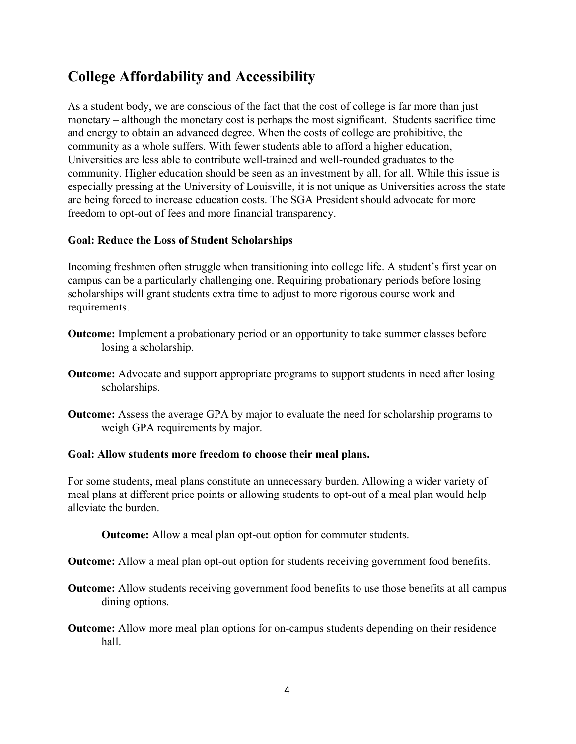# **College Affordability and Accessibility**

As a student body, we are conscious of the fact that the cost of college is far more than just monetary – although the monetary cost is perhaps the most significant. Students sacrifice time and energy to obtain an advanced degree. When the costs of college are prohibitive, the community as a whole suffers. With fewer students able to afford a higher education, Universities are less able to contribute well-trained and well-rounded graduates to the community. Higher education should be seen as an investment by all, for all. While this issue is especially pressing at the University of Louisville, it is not unique as Universities across the state are being forced to increase education costs. The SGA President should advocate for more freedom to opt-out of fees and more financial transparency.

### **Goal: Reduce the Loss of Student Scholarships**

Incoming freshmen often struggle when transitioning into college life. A student's first year on campus can be a particularly challenging one. Requiring probationary periods before losing scholarships will grant students extra time to adjust to more rigorous course work and requirements.

- **Outcome:** Implement a probationary period or an opportunity to take summer classes before losing a scholarship.
- **Outcome:** Advocate and support appropriate programs to support students in need after losing scholarships.
- **Outcome:** Assess the average GPA by major to evaluate the need for scholarship programs to weigh GPA requirements by major.

#### **Goal: Allow students more freedom to choose their meal plans.**

For some students, meal plans constitute an unnecessary burden. Allowing a wider variety of meal plans at different price points or allowing students to opt-out of a meal plan would help alleviate the burden.

**Outcome:** Allow a meal plan opt-out option for commuter students.

**Outcome:** Allow a meal plan opt-out option for students receiving government food benefits.

- **Outcome:** Allow students receiving government food benefits to use those benefits at all campus dining options.
- **Outcome:** Allow more meal plan options for on-campus students depending on their residence hall.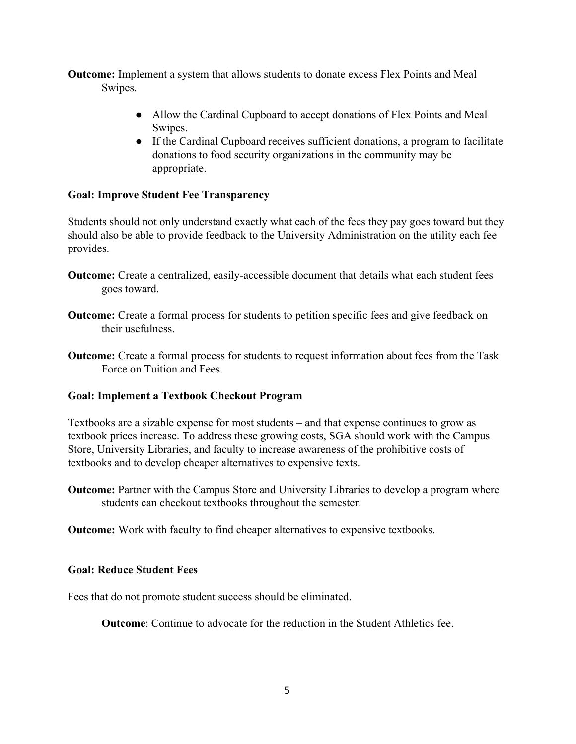**Outcome:** Implement a system that allows students to donate excess Flex Points and Meal Swipes.

- Allow the Cardinal Cupboard to accept donations of Flex Points and Meal Swipes.
- If the Cardinal Cupboard receives sufficient donations, a program to facilitate donations to food security organizations in the community may be appropriate.

### **Goal: Improve Student Fee Transparency**

Students should not only understand exactly what each of the fees they pay goes toward but they should also be able to provide feedback to the University Administration on the utility each fee provides.

- **Outcome:** Create a centralized, easily-accessible document that details what each student fees goes toward.
- **Outcome:** Create a formal process for students to petition specific fees and give feedback on their usefulness.
- **Outcome:** Create a formal process for students to request information about fees from the Task Force on Tuition and Fees.

### **Goal: Implement a Textbook Checkout Program**

Textbooks are a sizable expense for most students – and that expense continues to grow as textbook prices increase. To address these growing costs, SGA should work with the Campus Store, University Libraries, and faculty to increase awareness of the prohibitive costs of textbooks and to develop cheaper alternatives to expensive texts.

**Outcome:** Partner with the Campus Store and University Libraries to develop a program where students can checkout textbooks throughout the semester.

**Outcome:** Work with faculty to find cheaper alternatives to expensive textbooks.

#### **Goal: Reduce Student Fees**

Fees that do not promote student success should be eliminated.

**Outcome**: Continue to advocate for the reduction in the Student Athletics fee.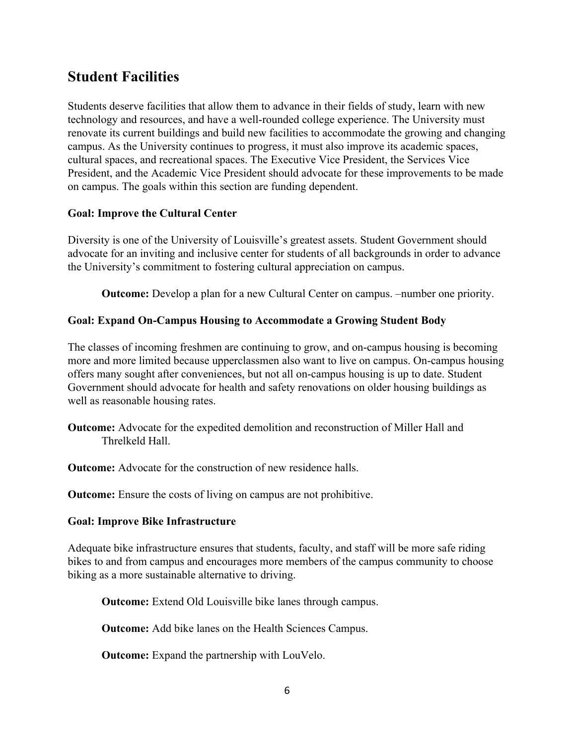# **Student Facilities**

Students deserve facilities that allow them to advance in their fields of study, learn with new technology and resources, and have a well-rounded college experience. The University must renovate its current buildings and build new facilities to accommodate the growing and changing campus. As the University continues to progress, it must also improve its academic spaces, cultural spaces, and recreational spaces. The Executive Vice President, the Services Vice President, and the Academic Vice President should advocate for these improvements to be made on campus. The goals within this section are funding dependent.

## **Goal: Improve the Cultural Center**

Diversity is one of the University of Louisville's greatest assets. Student Government should advocate for an inviting and inclusive center for students of all backgrounds in order to advance the University's commitment to fostering cultural appreciation on campus.

**Outcome:** Develop a plan for a new Cultural Center on campus.  $-$ number one priority.

## **Goal: Expand On-Campus Housing to Accommodate a Growing Student Body**

The classes of incoming freshmen are continuing to grow, and on-campus housing is becoming more and more limited because upperclassmen also want to live on campus. On-campus housing offers many sought after conveniences, but not all on-campus housing is up to date. Student Government should advocate for health and safety renovations on older housing buildings as well as reasonable housing rates.

**Outcome:** Advocate for the expedited demolition and reconstruction of Miller Hall and Threlkeld Hall.

**Outcome:** Advocate for the construction of new residence halls.

**Outcome:** Ensure the costs of living on campus are not prohibitive.

### **Goal: Improve Bike Infrastructure**

Adequate bike infrastructure ensures that students, faculty, and staff will be more safe riding bikes to and from campus and encourages more members of the campus community to choose biking as a more sustainable alternative to driving.

**Outcome:** Extend Old Louisville bike lanes through campus.

**Outcome:** Add bike lanes on the Health Sciences Campus.

**Outcome:** Expand the partnership with LouVelo.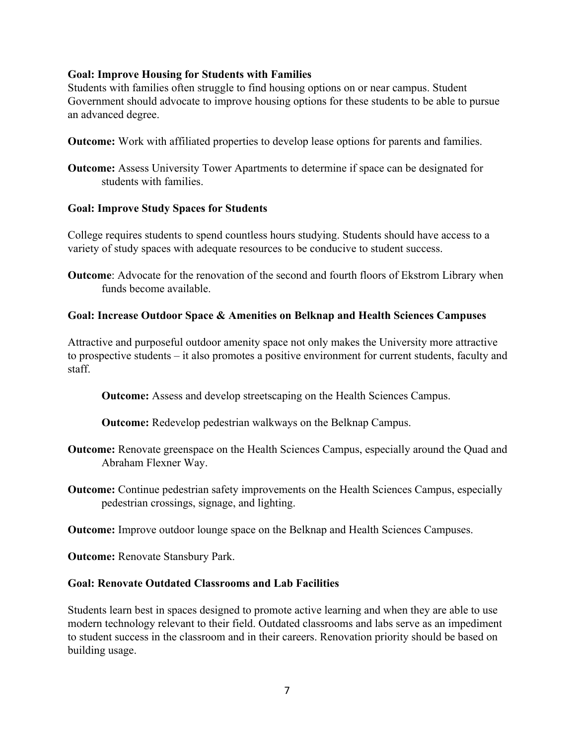### **Goal: Improve Housing for Students with Families**

Students with families often struggle to find housing options on or near campus. Student Government should advocate to improve housing options for these students to be able to pursue an advanced degree.

**Outcome:** Work with affiliated properties to develop lease options for parents and families.

**Outcome:** Assess University Tower Apartments to determine if space can be designated for students with families.

#### **Goal: Improve Study Spaces for Students**

College requires students to spend countless hours studying. Students should have access to a variety of study spaces with adequate resources to be conducive to student success.

**Outcome**: Advocate for the renovation of the second and fourth floors of Ekstrom Library when funds become available.

### **Goal: Increase Outdoor Space & Amenities on Belknap and Health Sciences Campuses**

Attractive and purposeful outdoor amenity space not only makes the University more attractive to prospective students – it also promotes a positive environment for current students, faculty and staff.

**Outcome:** Assess and develop streetscaping on the Health Sciences Campus.

**Outcome:** Redevelop pedestrian walkways on the Belknap Campus.

- **Outcome:** Renovate greenspace on the Health Sciences Campus, especially around the Quad and Abraham Flexner Way.
- **Outcome:** Continue pedestrian safety improvements on the Health Sciences Campus, especially pedestrian crossings, signage, and lighting.

**Outcome:** Improve outdoor lounge space on the Belknap and Health Sciences Campuses.

**Outcome:** Renovate Stansbury Park.

#### **Goal: Renovate Outdated Classrooms and Lab Facilities**

Students learn best in spaces designed to promote active learning and when they are able to use modern technology relevant to their field. Outdated classrooms and labs serve as an impediment to student success in the classroom and in their careers. Renovation priority should be based on building usage.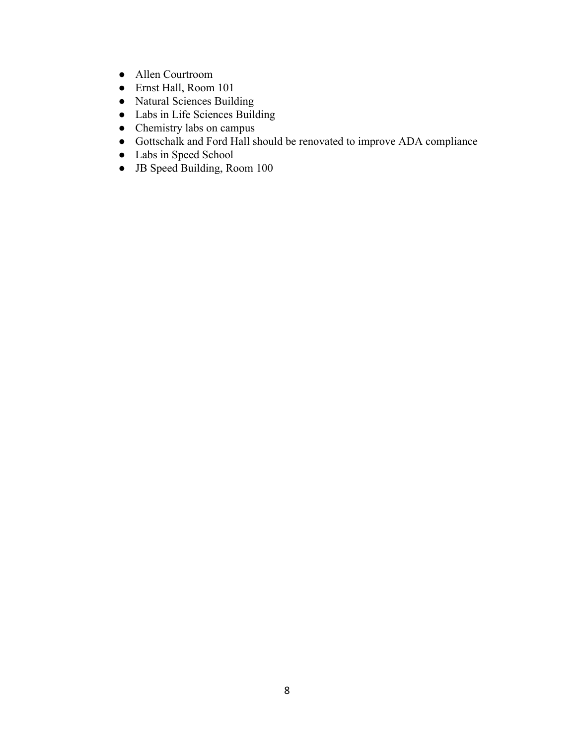- **●** Allen Courtroom
- **●** Ernst Hall, Room 101
- **●** Natural Sciences Building
- **●** Labs in Life Sciences Building
- **●** Chemistry labs on campus
- **●** Gottschalk and Ford Hall should be renovated to improve ADA compliance
- **●** Labs in Speed School
- **●** JB Speed Building, Room 100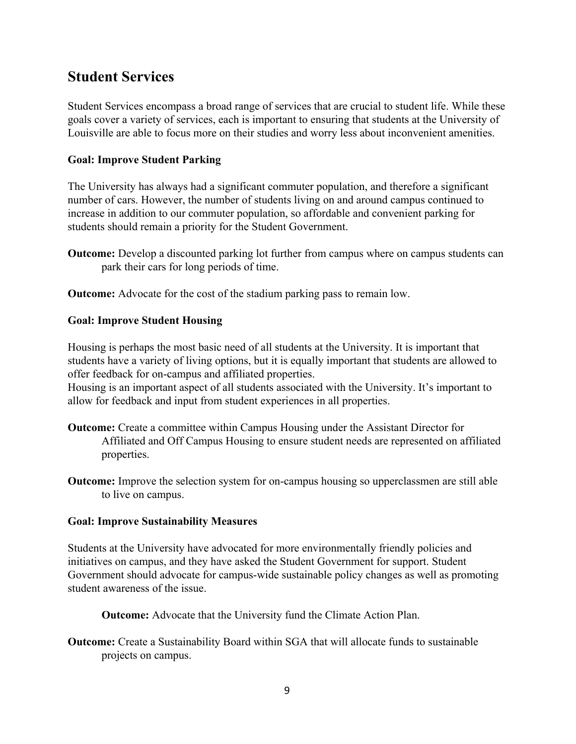# **Student Services**

Student Services encompass a broad range of services that are crucial to student life. While these goals cover a variety of services, each is important to ensuring that students at the University of Louisville are able to focus more on their studies and worry less about inconvenient amenities.

### **Goal: Improve Student Parking**

The University has always had a significant commuter population, and therefore a significant number of cars. However, the number of students living on and around campus continued to increase in addition to our commuter population, so affordable and convenient parking for students should remain a priority for the Student Government.

**Outcome:** Develop a discounted parking lot further from campus where on campus students can park their cars for long periods of time.

**Outcome:** Advocate for the cost of the stadium parking pass to remain low.

### **Goal: Improve Student Housing**

Housing is perhaps the most basic need of all students at the University. It is important that students have a variety of living options, but it is equally important that students are allowed to offer feedback for on-campus and affiliated properties.

Housing is an important aspect of all students associated with the University. It's important to allow for feedback and input from student experiences in all properties.

- **Outcome:** Create a committee within Campus Housing under the Assistant Director for Affiliated and Off Campus Housing to ensure student needs are represented on affiliated properties.
- **Outcome:** Improve the selection system for on-campus housing so upperclassmen are still able to live on campus.

#### **Goal: Improve Sustainability Measures**

Students at the University have advocated for more environmentally friendly policies and initiatives on campus, and they have asked the Student Government for support. Student Government should advocate for campus-wide sustainable policy changes as well as promoting student awareness of the issue.

**Outcome:** Advocate that the University fund the Climate Action Plan.

**Outcome:** Create a Sustainability Board within SGA that will allocate funds to sustainable projects on campus.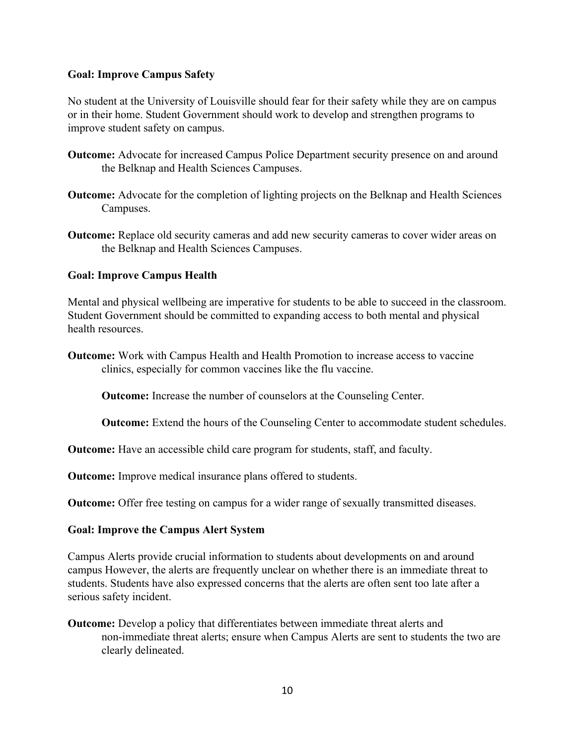### **Goal: Improve Campus Safety**

No student at the University of Louisville should fear for their safety while they are on campus or in their home. Student Government should work to develop and strengthen programs to improve student safety on campus.

- **Outcome:** Advocate for increased Campus Police Department security presence on and around the Belknap and Health Sciences Campuses.
- **Outcome:** Advocate for the completion of lighting projects on the Belknap and Health Sciences Campuses.
- **Outcome:** Replace old security cameras and add new security cameras to cover wider areas on the Belknap and Health Sciences Campuses.

### **Goal: Improve Campus Health**

Mental and physical wellbeing are imperative for students to be able to succeed in the classroom. Student Government should be committed to expanding access to both mental and physical health resources.

**Outcome:** Work with Campus Health and Health Promotion to increase access to vaccine clinics, especially for common vaccines like the flu vaccine.

**Outcome:** Increase the number of counselors at the Counseling Center.

**Outcome:** Extend the hours of the Counseling Center to accommodate student schedules.

**Outcome:** Have an accessible child care program for students, staff, and faculty.

**Outcome:** Improve medical insurance plans offered to students.

**Outcome:** Offer free testing on campus for a wider range of sexually transmitted diseases.

#### **Goal: Improve the Campus Alert System**

Campus Alerts provide crucial information to students about developments on and around campus However, the alerts are frequently unclear on whether there is an immediate threat to students. Students have also expressed concerns that the alerts are often sent too late after a serious safety incident.

**Outcome:** Develop a policy that differentiates between immediate threat alerts and non-immediate threat alerts; ensure when Campus Alerts are sent to students the two are clearly delineated.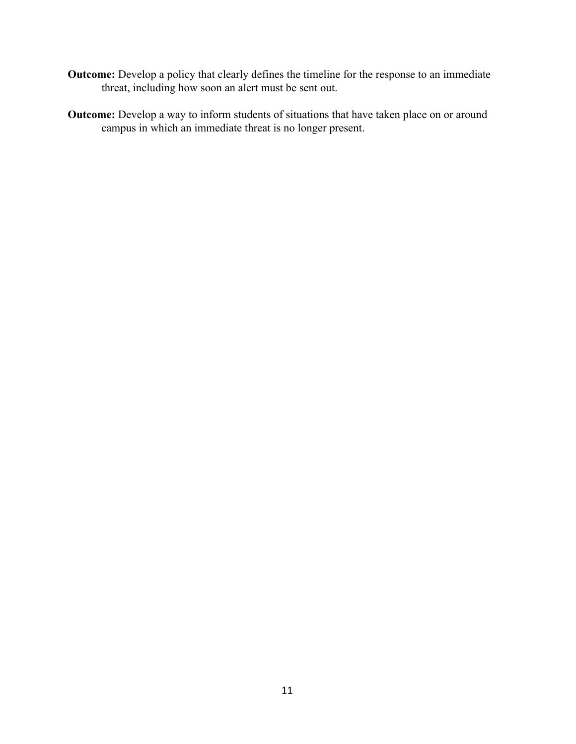- **Outcome:** Develop a policy that clearly defines the timeline for the response to an immediate threat, including how soon an alert must be sent out.
- **Outcome:** Develop a way to inform students of situations that have taken place on or around campus in which an immediate threat is no longer present.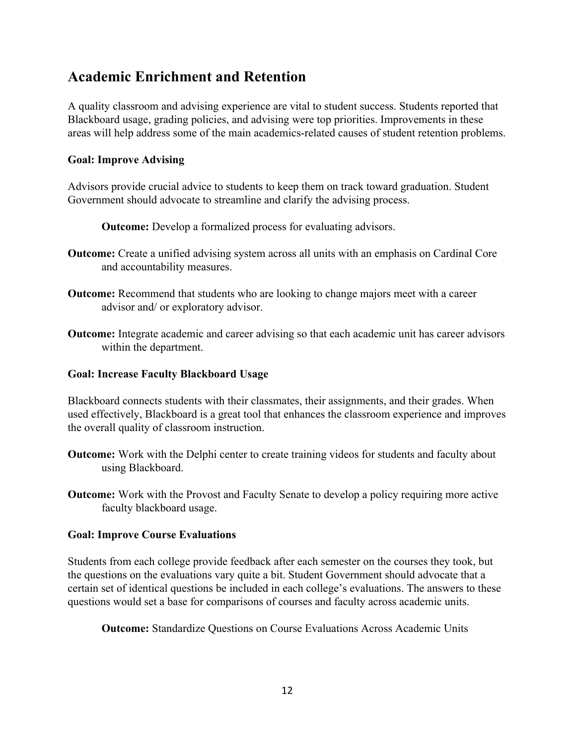# **Academic Enrichment and Retention**

A quality classroom and advising experience are vital to student success. Students reported that Blackboard usage, grading policies, and advising were top priorities. Improvements in these areas will help address some of the main academics-related causes of student retention problems.

### **Goal: Improve Advising**

Advisors provide crucial advice to students to keep them on track toward graduation. Student Government should advocate to streamline and clarify the advising process.

**Outcome:** Develop a formalized process for evaluating advisors.

- **Outcome:** Create a unified advising system across all units with an emphasis on Cardinal Core and accountability measures.
- **Outcome:** Recommend that students who are looking to change majors meet with a career advisor and/ or exploratory advisor.
- **Outcome:** Integrate academic and career advising so that each academic unit has career advisors within the department.

### **Goal: Increase Faculty Blackboard Usage**

Blackboard connects students with their classmates, their assignments, and their grades. When used effectively, Blackboard is a great tool that enhances the classroom experience and improves the overall quality of classroom instruction.

- **Outcome:** Work with the Delphi center to create training videos for students and faculty about using Blackboard.
- **Outcome:** Work with the Provost and Faculty Senate to develop a policy requiring more active faculty blackboard usage.

### **Goal: Improve Course Evaluations**

Students from each college provide feedback after each semester on the courses they took, but the questions on the evaluations vary quite a bit. Student Government should advocate that a certain set of identical questions be included in each college's evaluations. The answers to these questions would set a base for comparisons of courses and faculty across academic units.

**Outcome:** Standardize Questions on Course Evaluations Across Academic Units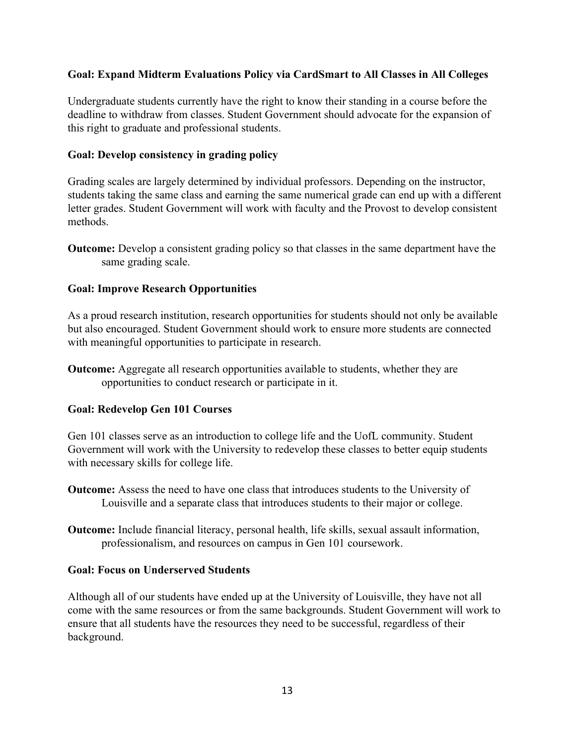### **Goal: Expand Midterm Evaluations Policy via CardSmart to All Classes in All Colleges**

Undergraduate students currently have the right to know their standing in a course before the deadline to withdraw from classes. Student Government should advocate for the expansion of this right to graduate and professional students.

### **Goal: Develop consistency in grading policy**

Grading scales are largely determined by individual professors. Depending on the instructor, students taking the same class and earning the same numerical grade can end up with a different letter grades. Student Government will work with faculty and the Provost to develop consistent methods.

**Outcome:** Develop a consistent grading policy so that classes in the same department have the same grading scale.

### **Goal: Improve Research Opportunities**

As a proud research institution, research opportunities for students should not only be available but also encouraged. Student Government should work to ensure more students are connected with meaningful opportunities to participate in research.

**Outcome:** Aggregate all research opportunities available to students, whether they are opportunities to conduct research or participate in it.

#### **Goal: Redevelop Gen 101 Courses**

Gen 101 classes serve as an introduction to college life and the UofL community. Student Government will work with the University to redevelop these classes to better equip students with necessary skills for college life.

- **Outcome:** Assess the need to have one class that introduces students to the University of Louisville and a separate class that introduces students to their major or college.
- **Outcome:** Include financial literacy, personal health, life skills, sexual assault information, professionalism, and resources on campus in Gen 101 coursework.

#### **Goal: Focus on Underserved Students**

Although all of our students have ended up at the University of Louisville, they have not all come with the same resources or from the same backgrounds. Student Government will work to ensure that all students have the resources they need to be successful, regardless of their background.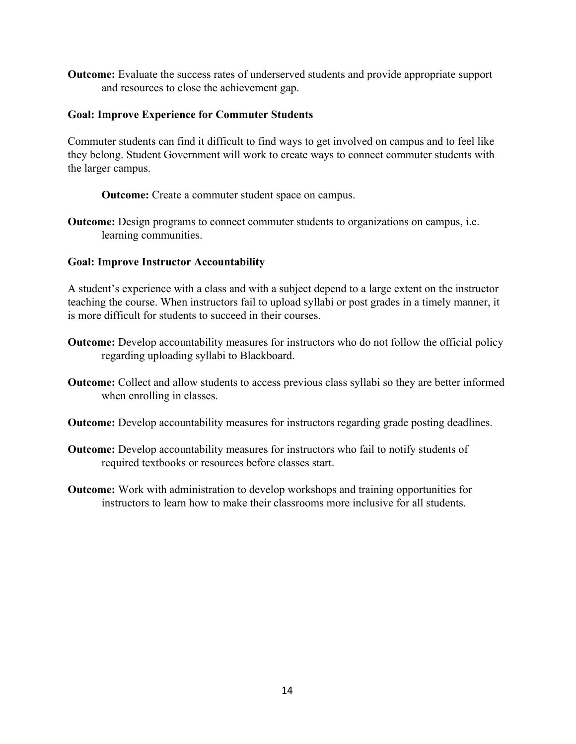**Outcome:** Evaluate the success rates of underserved students and provide appropriate support and resources to close the achievement gap.

### **Goal: Improve Experience for Commuter Students**

Commuter students can find it difficult to find ways to get involved on campus and to feel like they belong. Student Government will work to create ways to connect commuter students with the larger campus.

**Outcome:** Create a commuter student space on campus.

**Outcome:** Design programs to connect commuter students to organizations on campus, i.e. learning communities.

### **Goal: Improve Instructor Accountability**

A student's experience with a class and with a subject depend to a large extent on the instructor teaching the course. When instructors fail to upload syllabi or post grades in a timely manner, it is more difficult for students to succeed in their courses.

- **Outcome:** Develop accountability measures for instructors who do not follow the official policy regarding uploading syllabi to Blackboard.
- **Outcome:** Collect and allow students to access previous class syllabi so they are better informed when enrolling in classes.
- **Outcome:** Develop accountability measures for instructors regarding grade posting deadlines.
- **Outcome:** Develop accountability measures for instructors who fail to notify students of required textbooks or resources before classes start.
- **Outcome:** Work with administration to develop workshops and training opportunities for instructors to learn how to make their classrooms more inclusive for all students.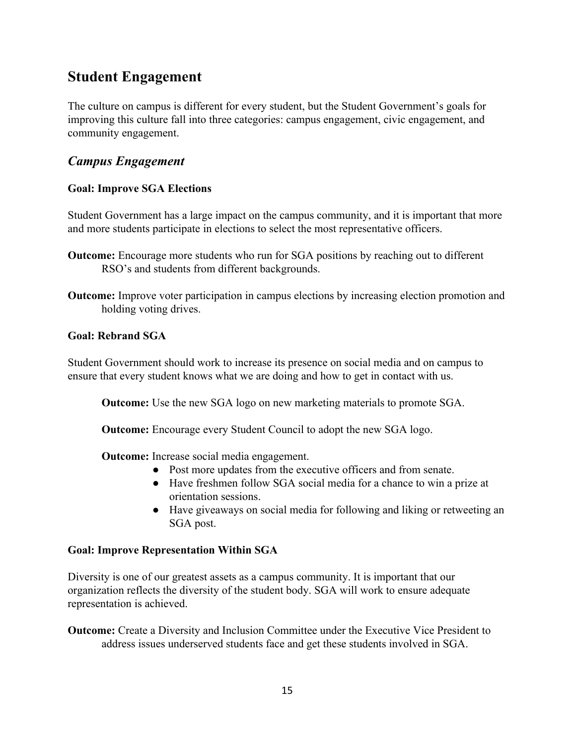# **Student Engagement**

The culture on campus is different for every student, but the Student Government's goals for improving this culture fall into three categories: campus engagement, civic engagement, and community engagement.

# *Campus Engagement*

### **Goal: Improve SGA Elections**

Student Government has a large impact on the campus community, and it is important that more and more students participate in elections to select the most representative officers.

- **Outcome:** Encourage more students who run for SGA positions by reaching out to different RSO's and students from different backgrounds.
- **Outcome:** Improve voter participation in campus elections by increasing election promotion and holding voting drives.

### **Goal: Rebrand SGA**

Student Government should work to increase its presence on social media and on campus to ensure that every student knows what we are doing and how to get in contact with us.

**Outcome:** Use the new SGA logo on new marketing materials to promote SGA.

**Outcome:** Encourage every Student Council to adopt the new SGA logo.

**Outcome:** Increase social media engagement.

- Post more updates from the executive officers and from senate.
- Have freshmen follow SGA social media for a chance to win a prize at orientation sessions.
- Have giveaways on social media for following and liking or retweeting an SGA post.

### **Goal: Improve Representation Within SGA**

Diversity is one of our greatest assets as a campus community. It is important that our organization reflects the diversity of the student body. SGA will work to ensure adequate representation is achieved.

**Outcome:** Create a Diversity and Inclusion Committee under the Executive Vice President to address issues underserved students face and get these students involved in SGA.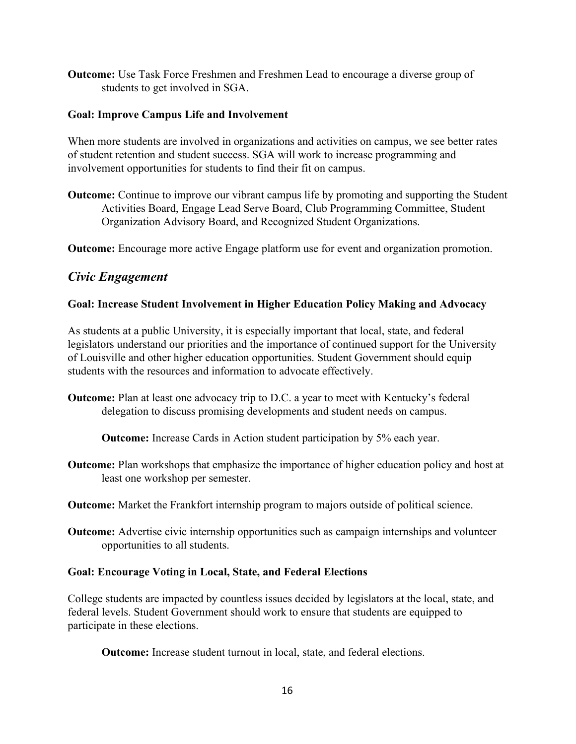**Outcome:** Use Task Force Freshmen and Freshmen Lead to encourage a diverse group of students to get involved in SGA.

### **Goal: Improve Campus Life and Involvement**

When more students are involved in organizations and activities on campus, we see better rates of student retention and student success. SGA will work to increase programming and involvement opportunities for students to find their fit on campus.

**Outcome:** Continue to improve our vibrant campus life by promoting and supporting the Student Activities Board, Engage Lead Serve Board, Club Programming Committee, Student Organization Advisory Board, and Recognized Student Organizations.

**Outcome:** Encourage more active Engage platform use for event and organization promotion.

# *Civic Engagement*

### **Goal: Increase Student Involvement in Higher Education Policy Making and Advocacy**

As students at a public University, it is especially important that local, state, and federal legislators understand our priorities and the importance of continued support for the University of Louisville and other higher education opportunities. Student Government should equip students with the resources and information to advocate effectively.

**Outcome:** Plan at least one advocacy trip to D.C. a year to meet with Kentucky's federal delegation to discuss promising developments and student needs on campus.

**Outcome:** Increase Cards in Action student participation by 5% each year.

**Outcome:** Plan workshops that emphasize the importance of higher education policy and host at least one workshop per semester.

**Outcome:** Market the Frankfort internship program to majors outside of political science.

**Outcome:** Advertise civic internship opportunities such as campaign internships and volunteer opportunities to all students.

### **Goal: Encourage Voting in Local, State, and Federal Elections**

College students are impacted by countless issues decided by legislators at the local, state, and federal levels. Student Government should work to ensure that students are equipped to participate in these elections.

**Outcome:** Increase student turnout in local, state, and federal elections.